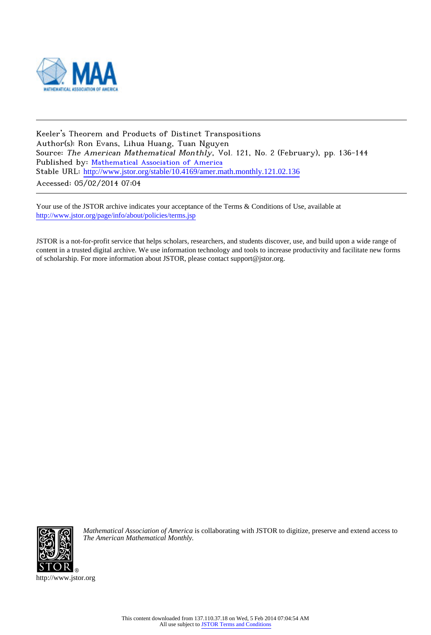

Keeler's Theorem and Products of Distinct Transpositions Author(s): Ron Evans, Lihua Huang, Tuan Nguyen Source: The American Mathematical Monthly, Vol. 121, No. 2 (February), pp. 136-144 Published by: [Mathematical Association of America](http://www.jstor.org/action/showPublisher?publisherCode=maa) Stable URL: [http://www.jstor.org/stable/10.4169/amer.math.monthly.121.02.136](http://www.jstor.org/stable/10.4169/amer.math.monthly.121.02.136?origin=JSTOR-pdf) Accessed: 05/02/2014 07:04

Your use of the JSTOR archive indicates your acceptance of the Terms & Conditions of Use, available at <http://www.jstor.org/page/info/about/policies/terms.jsp>

JSTOR is a not-for-profit service that helps scholars, researchers, and students discover, use, and build upon a wide range of content in a trusted digital archive. We use information technology and tools to increase productivity and facilitate new forms of scholarship. For more information about JSTOR, please contact support@jstor.org.



*Mathematical Association of America* is collaborating with JSTOR to digitize, preserve and extend access to *The American Mathematical Monthly.*

http://www.jstor.org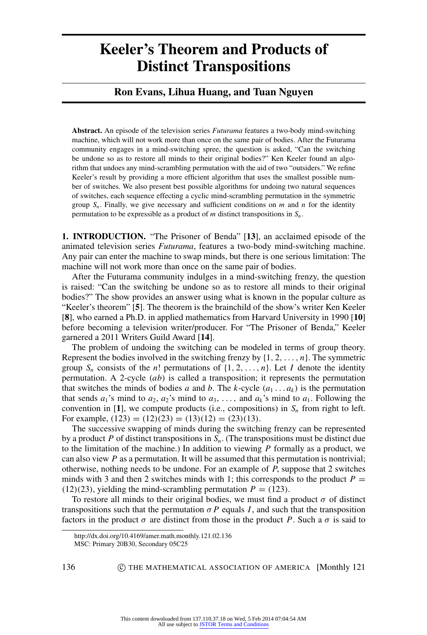# **Keeler's Theorem and Products of Distinct Transpositions**

## **Ron Evans, Lihua Huang, and Tuan Nguyen**

**Abstract.** An episode of the television series *Futurama* features a two-body mind-switching machine, which will not work more than once on the same pair of bodies. After the Futurama community engages in a mind-switching spree, the question is asked, "Can the switching be undone so as to restore all minds to their original bodies?" Ken Keeler found an algorithm that undoes any mind-scrambling permutation with the aid of two "outsiders." We refine Keeler's result by providing a more efficient algorithm that uses the smallest possible number of switches. We also present best possible algorithms for undoing two natural sequences of switches, each sequence effecting a cyclic mind-scrambling permutation in the symmetric group  $S_n$ . Finally, we give necessary and sufficient conditions on *m* and *n* for the identity permutation to be expressible as a product of *m* distinct transpositions in *S<sup>n</sup>* .

**1. INTRODUCTION.** "The Prisoner of Benda" [**[13](#page-8-0)**], an acclaimed episode of the animated television series *Futurama*, features a two-body mind-switching machine. Any pair can enter the machine to swap minds, but there is one serious limitation: The machine will not work more than once on the same pair of bodies.

After the Futurama community indulges in a mind-switching frenzy, the question is raised: "Can the switching be undone so as to restore all minds to their original bodies?" The show provides an answer using what is known in the popular culture as "Keeler's theorem" [**[5](#page-8-1)**]. The theorem is the brainchild of the show's writer Ken Keeler [**[8](#page-8-2)**], who earned a Ph.D. in applied mathematics from Harvard University in 1990 [**[10](#page-8-3)**] before becoming a television writer/producer. For "The Prisoner of Benda," Keeler garnered a 2011 Writers Guild Award [**[14](#page-8-4)**].

The problem of undoing the switching can be modeled in terms of group theory. Represent the bodies involved in the switching frenzy by  $\{1, 2, \ldots, n\}$ . The symmetric group  $S_n$  consists of the *n*! permutations of  $\{1, 2, \ldots, n\}$ . Let *I* denote the identity permutation. A 2-cycle (*ab*) is called a transposition; it represents the permutation that switches the minds of bodies *a* and *b*. The *k*-cycle  $(a_1 \ldots a_k)$  is the permutation that sends  $a_1$ 's mind to  $a_2$ ,  $a_2$ 's mind to  $a_3$ , ..., and  $a_k$ 's mind to  $a_1$ . Following the convention in [[1](#page-8-5)], we compute products (i.e., compositions) in  $S_n$  from right to left. For example,  $(123) = (12)(23) = (13)(12) = (23)(13)$ .

The successive swapping of minds during the switching frenzy can be represented by a product *P* of distinct transpositions in *Sn*. (The transpositions must be distinct due to the limitation of the machine.) In addition to viewing *P* formally as a product, we can also view *P* as a permutation. It will be assumed that this permutation is nontrivial; otherwise, nothing needs to be undone. For an example of *P*, suppose that 2 switches minds with 3 and then 2 switches minds with 1; this corresponds to the product  $P =$  $(12)(23)$ , yielding the mind-scrambling permutation  $P = (123)$ .

To restore all minds to their original bodies, we must find a product  $\sigma$  of distinct transpositions such that the permutation  $\sigma P$  equals *I*, and such that the transposition factors in the product  $\sigma$  are distinct from those in the product P. Such a  $\sigma$  is said to

http://dx.doi.org/10.4169/amer.math.monthly.121.02.136

MSC: Primary 20B30, Secondary 05C25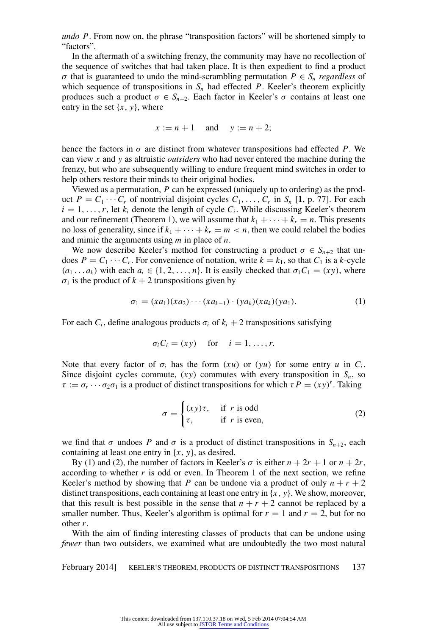*undo P*. From now on, the phrase "transposition factors" will be shortened simply to "factors".

In the aftermath of a switching frenzy, the community may have no recollection of the sequence of switches that had taken place. It is then expedient to find a product  $\sigma$  that is guaranteed to undo the mind-scrambling permutation  $P \in S_n$  *regardless* of which sequence of transpositions in  $S_n$  had effected  $P$ . Keeler's theorem explicitly produces such a product  $\sigma \in S_{n+2}$ . Each factor in Keeler's  $\sigma$  contains at least one entry in the set {*x*, *y*}, where

$$
x := n + 1 \quad \text{and} \quad y := n + 2;
$$

hence the factors in  $\sigma$  are distinct from whatever transpositions had effected *P*. We can view *x* and *y* as altruistic *outsiders* who had never entered the machine during the frenzy, but who are subsequently willing to endure frequent mind switches in order to help others restore their minds to their original bodies.

Viewed as a permutation, *P* can be expressed (uniquely up to ordering) as the product  $P = C_1 \cdots C_r$  $P = C_1 \cdots C_r$  $P = C_1 \cdots C_r$  of nontrivial disjoint cycles  $C_1, \ldots, C_r$  in  $S_n$  [1, p. 77]. For each  $i = 1, \ldots, r$ , let  $k_i$  denote the length of cycle  $C_i$ . While discussing Keeler's theorem and our refinement (Theorem 1), we will assume that  $k_1 + \cdots + k_r = n$ . This presents no loss of generality, since if  $k_1 + \cdots + k_r = m < n$ , then we could relabel the bodies and mimic the arguments using *m* in place of *n*.

We now describe Keeler's method for constructing a product  $\sigma \in S_{n+2}$  that undoes  $P = C_1 \cdots C_r$ . For convenience of notation, write  $k = k_1$ , so that  $C_1$  is a *k*-cycle  $(a_1 \dots a_k)$  with each  $a_i \in \{1, 2, \dots, n\}$ . It is easily checked that  $\sigma_1 C_1 = (xy)$ , where  $\sigma_1$  is the product of  $k + 2$  transpositions given by

<span id="page-2-0"></span>
$$
\sigma_1 = (xa_1)(xa_2)\cdots (xa_{k-1}) \cdot (ya_k)(xa_k)(ya_1). \tag{1}
$$

For each  $C_i$ , define analogous products  $\sigma_i$  of  $k_i + 2$  transpositions satisfying

$$
\sigma_i C_i = (xy) \quad \text{for} \quad i = 1, \dots, r.
$$

Note that every factor of  $\sigma_i$  has the form  $(xu)$  or  $(yu)$  for some entry *u* in  $C_i$ . Since disjoint cycles commute,  $(xy)$  commutes with every transposition in  $S_n$ , so  $\tau := \sigma_r \cdots \sigma_2 \sigma_1$  is a product of distinct transpositions for which  $\tau P = (xy)^r$ . Taking

<span id="page-2-1"></span>
$$
\sigma = \begin{cases} (xy)\tau, & \text{if } r \text{ is odd} \\ \tau, & \text{if } r \text{ is even,} \end{cases}
$$
 (2)

we find that  $\sigma$  undoes *P* and  $\sigma$  is a product of distinct transpositions in  $S_{n+2}$ , each containing at least one entry in {*x*, *y*}, as desired.

By [\(1\)](#page-2-0) and [\(2\)](#page-2-1), the number of factors in Keeler's  $\sigma$  is either  $n + 2r + 1$  or  $n + 2r$ , according to whether  $r$  is odd or even. In Theorem 1 of the next section, we refine Keeler's method by showing that *P* can be undone via a product of only  $n + r + 2$ distinct transpositions, each containing at least one entry in {*x*, *y*}. We show, moreover, that this result is best possible in the sense that  $n + r + 2$  cannot be replaced by a smaller number. Thus, Keeler's algorithm is optimal for  $r = 1$  and  $r = 2$ , but for no other *r*.

With the aim of finding interesting classes of products that can be undone using *fewer* than two outsiders, we examined what are undoubtedly the two most natural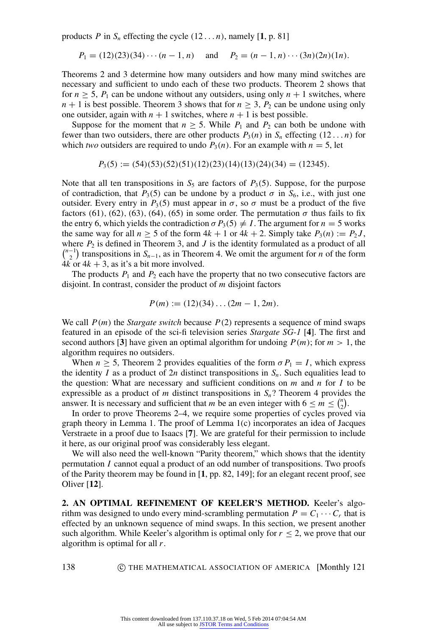products *P* in  $S_n$  effecting the cycle  $(12 \dots n)$  $(12 \dots n)$  $(12 \dots n)$ , namely [1, p. 81]

$$
P_1 = (12)(23)(34) \cdots (n-1, n)
$$
 and  $P_2 = (n-1, n) \cdots (3n)(2n)(1n)$ .

Theorems 2 and 3 determine how many outsiders and how many mind switches are necessary and sufficient to undo each of these two products. Theorem 2 shows that for  $n \geq 5$ ,  $P_1$  can be undone without any outsiders, using only  $n + 1$  switches, where  $n + 1$  is best possible. Theorem 3 shows that for  $n \geq 3$ ,  $P_2$  can be undone using only one outsider, again with  $n + 1$  switches, where  $n + 1$  is best possible.

Suppose for the moment that  $n \geq 5$ . While  $P_1$  and  $P_2$  can both be undone with fewer than two outsiders, there are other products  $P_3(n)$  in  $S_n$  effecting  $(12 \dots n)$  for which *two* outsiders are required to undo  $P_3(n)$ . For an example with  $n = 5$ , let

 $P_3(5) := (54)(53)(52)(51)(12)(23)(14)(13)(24)(34) = (12345).$ 

Note that all ten transpositions in  $S_5$  are factors of  $P_3(5)$ . Suppose, for the purpose of contradiction, that  $P_3(5)$  can be undone by a product  $\sigma$  in  $S_6$ , i.e., with just one outsider. Every entry in  $P_3(5)$  must appear in  $\sigma$ , so  $\sigma$  must be a product of the five factors (61), (62), (63), (64), (65) in some order. The permutation  $\sigma$  thus fails to fix the entry 6, which yields the contradiction  $\sigma P_3(5) \neq I$ . The argument for  $n = 5$  works the same way for all  $n \ge 5$  of the form  $4k + 1$  or  $4k + 2$ . Simply take  $P_3(n) := P_2 J$ , where  $P_2$  is defined in Theorem 3, and  $J$  is the identity formulated as a product of all  $\binom{n-1}{2}$  $\binom{1}{2}$  transpositions in *S*<sub>*n*−1</sub>, as in Theorem 4. We omit the argument for *n* of the form  $4k$  or  $4k + 3$ , as it's a bit more involved.

The products  $P_1$  and  $P_2$  each have the property that no two consecutive factors are disjoint. In contrast, consider the product of *m* disjoint factors

$$
P(m) := (12)(34) \dots (2m - 1, 2m).
$$

We call *P*(*m*) the *Stargate switch* because *P*(2) represents a sequence of mind swaps featured in an episode of the sci-fi television series *Stargate SG-1* [**[4](#page-8-6)**]. The first and second authors [[3](#page-8-7)] have given an optimal algorithm for undoing  $P(m)$ ; for  $m > 1$ , the algorithm requires no outsiders.

When  $n \geq 5$ , Theorem 2 provides equalities of the form  $\sigma P_1 = I$ , which express the identity *I* as a product of 2*n* distinct transpositions in  $S_n$ . Such equalities lead to the question: What are necessary and sufficient conditions on  $m$  and  $n$  for  $I$  to be expressible as a product of *m* distinct transpositions in  $S_n$ ? Theorem 4 provides the answer. It is necessary and sufficient that *m* be an even integer with  $6 \le m \le {n \choose 2}$  $\binom{n}{2}$ .

In order to prove Theorems 2–4, we require some properties of cycles proved via graph theory in Lemma 1. The proof of Lemma 1(c) incorporates an idea of Jacques Verstraete in a proof due to Isaacs [**[7](#page-8-8)**]. We are grateful for their permission to include it here, as our original proof was considerably less elegant.

We will also need the well-known "Parity theorem," which shows that the identity permutation *I* cannot equal a product of an odd number of transpositions. Two proofs of the Parity theorem may be found in [**[1](#page-8-5)**, pp. 82, 149]; for an elegant recent proof, see Oliver [**[12](#page-8-9)**].

**2. AN OPTIMAL REFINEMENT OF KEELER'S METHOD.** Keeler's algorithm was designed to undo every mind-scrambling permutation  $P = C_1 \cdots C_r$  that is effected by an unknown sequence of mind swaps. In this section, we present another such algorithm. While Keeler's algorithm is optimal only for  $r \leq 2$ , we prove that our algorithm is optimal for all *r*.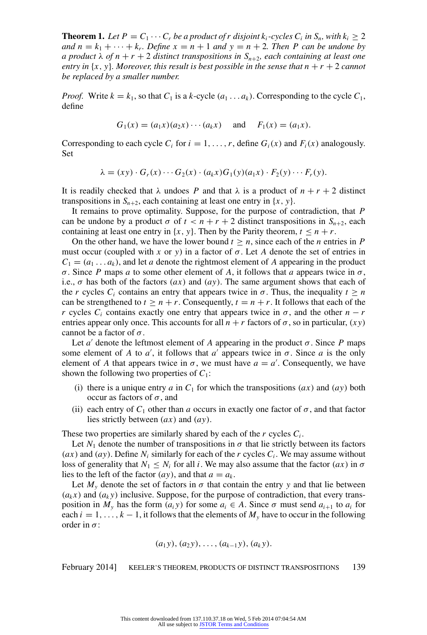**Theorem 1.** Let  $P = C_1 \cdots C_r$  be a product of r disjoint  $k_i$ -cycles  $C_i$  in  $S_n$ , with  $k_i \geq 2$ *and*  $n = k_1 + \cdots + k_r$ *. Define*  $x = n + 1$  *and*  $y = n + 2$ *. Then P can be undone* by *a product*  $\lambda$  *of*  $n + r + 2$  *distinct transpositions in*  $S_{n+2}$ *, each containing at least one entry in*  $\{x, y\}$ *. Moreover, this result is best possible in the sense that*  $n + r + 2$  *cannot be replaced by a smaller number.*

*Proof.* Write  $k = k_1$ , so that  $C_1$  is a *k*-cycle  $(a_1 \ldots a_k)$ . Corresponding to the cycle  $C_1$ , define

$$
G_1(x) = (a_1x)(a_2x) \cdots (a_kx)
$$
 and  $F_1(x) = (a_1x)$ .

Corresponding to each cycle  $C_i$  for  $i = 1, \ldots, r$ , define  $G_i(x)$  and  $F_i(x)$  analogously. Set

$$
\lambda = (xy) \cdot G_r(x) \cdots G_2(x) \cdot (a_k x) G_1(y) (a_1 x) \cdot F_2(y) \cdots F_r(y).
$$

It is readily checked that  $\lambda$  undoes *P* and that  $\lambda$  is a product of  $n + r + 2$  distinct transpositions in  $S_{n+2}$ , each containing at least one entry in  $\{x, y\}$ .

It remains to prove optimality. Suppose, for the purpose of contradiction, that *P* can be undone by a product  $\sigma$  of  $t < n + r + 2$  distinct transpositions in  $S_{n+2}$ , each containing at least one entry in  $\{x, y\}$ . Then by the Parity theorem,  $t \le n + r$ .

On the other hand, we have the lower bound  $t \geq n$ , since each of the *n* entries in *P* must occur (coupled with *x* or *y*) in a factor of  $\sigma$ . Let *A* denote the set of entries in  $C_1 = (a_1 \dots a_k)$ , and let *a* denote the rightmost element of *A* appearing in the product σ. Since *P* maps *a* to some other element of *A*, it follows that *a* appears twice in σ, i.e.,  $\sigma$  has both of the factors  $(ax)$  and  $(ay)$ . The same argument shows that each of the *r* cycles  $C_i$  contains an entry that appears twice in  $\sigma$ . Thus, the inequality  $t \geq n$ can be strengthened to  $t > n + r$ . Consequently,  $t = n + r$ . It follows that each of the *r* cycles  $C_i$  contains exactly one entry that appears twice in  $\sigma$ , and the other  $n - r$ entries appear only once. This accounts for all  $n + r$  factors of  $\sigma$ , so in particular,  $(xy)$ cannot be a factor of  $\sigma$ .

Let  $a'$  denote the leftmost element of *A* appearing in the product  $\sigma$ . Since *P* maps some element of *A* to *a'*, it follows that *a'* appears twice in  $\sigma$ . Since *a* is the only element of *A* that appears twice in  $\sigma$ , we must have  $a = a'$ . Consequently, we have shown the following two properties of *C*1:

- (i) there is a unique entry  $a$  in  $C_1$  for which the transpositions  $(ax)$  and  $(ay)$  both occur as factors of  $\sigma$ , and
- (ii) each entry of  $C_1$  other than *a* occurs in exactly one factor of  $\sigma$ , and that factor lies strictly between (*ax*) and (*ay*).

These two properties are similarly shared by each of the *r* cycles *C<sup>i</sup>* .

Let  $N_1$  denote the number of transpositions in  $\sigma$  that lie strictly between its factors  $(ax)$  and  $(ay)$ . Define  $N_i$  similarly for each of the *r* cycles  $C_i$ . We may assume without loss of generality that  $N_1 \leq N_i$  for all *i*. We may also assume that the factor  $(ax)$  in  $\sigma$ lies to the left of the factor  $(ay)$ , and that  $a = a_k$ .

Let  $M_{y}$  denote the set of factors in  $\sigma$  that contain the entry y and that lie between  $(a_k x)$  and  $(a_k y)$  inclusive. Suppose, for the purpose of contradiction, that every transposition in  $M_v$  has the form  $(a_i y)$  for some  $a_i \in A$ . Since  $\sigma$  must send  $a_{i+1}$  to  $a_i$  for each  $i = 1, \ldots, k - 1$ , it follows that the elements of  $M_{\nu}$  have to occur in the following order in  $\sigma$ :

$$
(a_1y), (a_2y), \ldots, (a_{k-1}y), (a_ky).
$$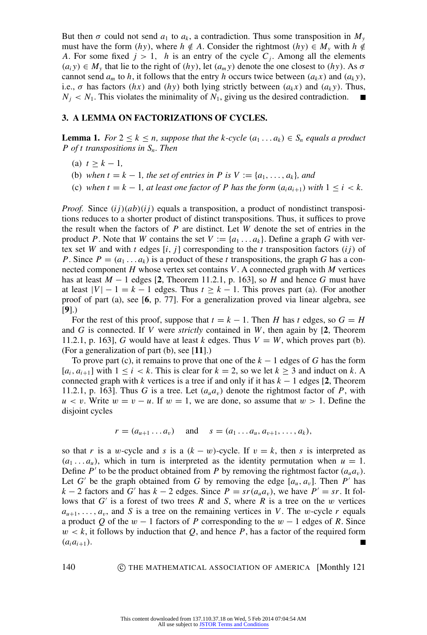But then  $\sigma$  could not send  $a_1$  to  $a_k$ , a contradiction. Thus some transposition in  $M_y$ must have the form  $(hy)$ , where  $h \notin A$ . Consider the rightmost  $(hy) \in M_y$  with  $h \notin A$ *A*. For some fixed  $j > 1$ , *h* is an entry of the cycle  $C_j$ . Among all the elements  $(a_i y) \in M_y$  that lie to the right of  $(hy)$ , let  $(a_m y)$  denote the one closest to  $(hy)$ . As  $\sigma$ cannot send  $a_m$  to *h*, it follows that the entry *h* occurs twice between  $(a_k x)$  and  $(a_k y)$ , i.e.,  $\sigma$  has factors (*hx*) and (*hy*) both lying strictly between ( $a_k x$ ) and ( $a_k y$ ). Thus,  $N_i$  <  $N_1$ . This violates the minimality of  $N_1$ , giving us the desired contradiction.

### **3. A LEMMA ON FACTORIZATIONS OF CYCLES.**

**Lemma 1.** *For*  $2 \leq k \leq n$ *, suppose that the k-cycle*  $(a_1 \ldots a_k) \in S_n$  *equals a product P of t transpositions in Sn. Then*

- (a)  $t \geq k 1$ ,
- (b) when  $t = k 1$ , the set of entries in P is  $V := \{a_1, \ldots, a_k\}$ , and
- (c) when  $t = k 1$ , at least one factor of P has the form  $(a_i a_{i+1})$  with  $1 \le i \le k$ .

*Proof.* Since  $(i)(ab)(i)$  equals a transposition, a product of nondistinct transpositions reduces to a shorter product of distinct transpositions. Thus, it suffices to prove the result when the factors of *P* are distinct. Let *W* denote the set of entries in the product *P*. Note that *W* contains the set  $V := \{a_1, \ldots, a_k\}$ . Define a graph *G* with vertex set *W* and with *t* edges [*i*, *j*] corresponding to the *t* transposition factors (*ij*) of *P*. Since  $P = (a_1 \dots a_k)$  is a product of these *t* transpositions, the graph *G* has a connected component *H* whose vertex set contains *V*. A connected graph with *M* vertices has at least  $M - 1$  edges [[2](#page-8-10), Theorem 11.2.1, p. 163], so  $H$  and hence  $G$  must have at least  $|V| - 1 = k - 1$  edges. Thus  $t > k - 1$ . This proves part (a). (For another proof of part (a), see [**[6](#page-8-11)**, p. 77]. For a generalization proved via linear algebra, see [**[9](#page-8-12)**].)

For the rest of this proof, suppose that  $t = k - 1$ . Then *H* has *t* edges, so  $G = H$ and *G* is connected. If *V* were *strictly* contained in *W*, then again by [**[2](#page-8-10)**, Theorem 11.2.1, p. 163], *G* would have at least *k* edges. Thus  $V = W$ , which proves part (b). (For a generalization of part (b), see [**[11](#page-8-13)**].)

To prove part (c), it remains to prove that one of the  $k - 1$  edges of *G* has the form  $[a_i, a_{i+1}]$  with  $1 \leq i \leq k$ . This is clear for  $k = 2$ , so we let  $k \geq 3$  and induct on k. A connected graph with  $k$  vertices is a tree if and only if it has  $k - 1$  edges [[2](#page-8-10), Theorem 11.2.1, p. 163]. Thus *G* is a tree. Let  $(a_u a_v)$  denote the rightmost factor of *P*, with  $u < v$ . Write  $w = v - u$ . If  $w = 1$ , we are done, so assume that  $w > 1$ . Define the disjoint cycles

$$
r = (a_{u+1} \dots a_v)
$$
 and  $s = (a_1 \dots a_u, a_{v+1}, \dots, a_k),$ 

so that *r* is a w-cycle and *s* is a  $(k - w)$ -cycle. If  $v = k$ , then *s* is interpreted as  $(a_1 \ldots a_u)$ , which in turn is interpreted as the identity permutation when  $u = 1$ . Define  $P'$  to be the product obtained from  $P$  by removing the rightmost factor  $(a_u a_v)$ . Let *G'* be the graph obtained from *G* by removing the edge  $[a_u, a_v]$ . Then *P'* has *k* − 2 factors and *G*<sup> $\prime$ </sup> has *k* − 2 edges. Since *P* = *sr*( $a_u a_v$ ), we have *P*<sup> $\prime$ </sup> = *sr*. It follows that  $G'$  is a forest of two trees  $R$  and  $S$ , where  $R$  is a tree on the  $w$  vertices  $a_{u+1}, \ldots, a_v$ , and *S* is a tree on the remaining vertices in *V*. The w-cycle *r* equals a product *Q* of the  $w - 1$  factors of *P* corresponding to the  $w - 1$  edges of *R*. Since  $w < k$ , it follows by induction that  $Q$ , and hence  $P$ , has a factor of the required form  $(a_i a_{i+1}).$  $\blacksquare$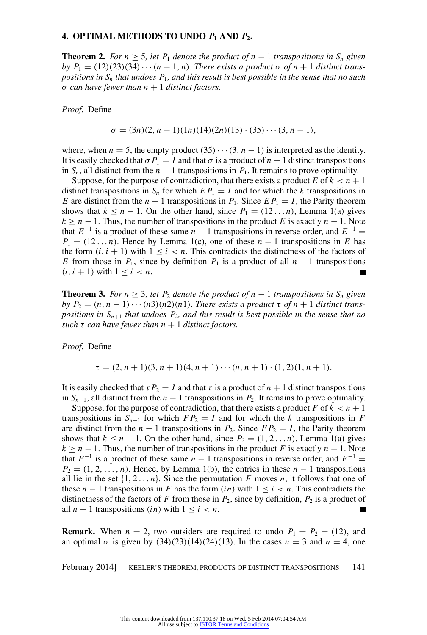#### **4. OPTIMAL METHODS TO UNDO**  $P_1$  AND  $P_2$ **.**

**Theorem 2.** For  $n \geq 5$ , let  $P_1$  denote the product of  $n-1$  transpositions in  $S_n$  given *by*  $P_1 = (12)(23)(34) \cdots (n-1, n)$ *. There exists a product*  $\sigma$  *of*  $n+1$  *distinct transpositions in S<sup>n</sup> that undoes P*1*, and this result is best possible in the sense that no such*  $\sigma$  *can have fewer than n* + 1 *distinct factors.* 

*Proof.* Define

$$
\sigma = (3n)(2, n - 1)(1n)(14)(2n)(13) \cdot (35) \cdot \cdot \cdot (3, n - 1),
$$

where, when  $n = 5$ , the empty product  $(35) \cdots (3, n - 1)$  is interpreted as the identity. It is easily checked that  $\sigma P_1 = I$  and that  $\sigma$  is a product of  $n + 1$  distinct transpositions in  $S_n$ , all distinct from the *n* − 1 transpositions in  $P_1$ . It remains to prove optimality.

Suppose, for the purpose of contradiction, that there exists a product  $E$  of  $k < n + 1$ distinct transpositions in  $S_n$  for which  $EP_1 = I$  and for which the *k* transpositions in *E* are distinct from the *n* − 1 transpositions in  $P_1$ . Since  $EP_1 = I$ , the Parity theorem shows that  $k \leq n - 1$ . On the other hand, since  $P_1 = (12 \dots n)$ , Lemma 1(a) gives  $k \geq n - 1$ . Thus, the number of transpositions in the product *E* is exactly  $n - 1$ . Note that  $E^{-1}$  is a product of these same  $n-1$  transpositions in reverse order, and  $E^{-1}$  =  $P_1 = (12 \dots n)$ . Hence by Lemma 1(c), one of these  $n - 1$  transpositions in *E* has the form  $(i, i + 1)$  with  $1 \le i \le n$ . This contradicts the distinctness of the factors of *E* from those in  $P_1$ , since by definition  $P_1$  is a product of all  $n-1$  transpositions  $(i, i + 1)$  with  $1 \leq i \leq n$ .  $\blacksquare$ 

**Theorem 3.** *For n* ≥ 3*, let P*<sub>2</sub> *denote the product of n* − 1 *transpositions in*  $S_n$  *given by*  $P_2 = (n, n-1) \cdots (n^3)(n^2)(n^3)$ . *There exists a product*  $\tau$  *of*  $n+1$  *distinct transpositions in Sn*+<sup>1</sup> *that undoes P*2*, and this result is best possible in the sense that no such*  $\tau$  *can have fewer than*  $n + 1$  *distinct factors.* 

*Proof.* Define

$$
\tau = (2, n + 1)(3, n + 1)(4, n + 1) \cdots (n, n + 1) \cdot (1, 2)(1, n + 1).
$$

It is easily checked that  $\tau P_2 = I$  and that  $\tau$  is a product of  $n + 1$  distinct transpositions in  $S_{n+1}$ , all distinct from the  $n-1$  transpositions in  $P_2$ . It remains to prove optimality.

Suppose, for the purpose of contradiction, that there exists a product  $F$  of  $k < n + 1$ transpositions in  $S_{n+1}$  for which  $FP_2 = I$  and for which the *k* transpositions in *F* are distinct from the  $n - 1$  transpositions in  $P_2$ . Since  $FP_2 = I$ , the Parity theorem shows that  $k \leq n - 1$ . On the other hand, since  $P_2 = (1, 2...n)$ , Lemma 1(a) gives  $k \geq n - 1$ . Thus, the number of transpositions in the product *F* is exactly  $n - 1$ . Note that  $F^{-1}$  is a product of these same  $n - 1$  transpositions in reverse order, and  $F^{-1} =$  $P_2 = (1, 2, \ldots, n)$ . Hence, by Lemma 1(b), the entries in these  $n - 1$  transpositions all lie in the set  $\{1, 2, \ldots n\}$ . Since the permutation *F* moves *n*, it follows that one of these  $n - 1$  transpositions in *F* has the form  $(in)$  with  $1 \le i \le n$ . This contradicts the distinctness of the factors of *F* from those in  $P_2$ , since by definition,  $P_2$  is a product of all  $n-1$  transpositions (*in*) with  $1 \le i \le n$ .  $\blacksquare$ 

**Remark.** When  $n = 2$ , two outsiders are required to undo  $P_1 = P_2 = (12)$ , and an optimal  $\sigma$  is given by  $(34)(23)(14)(24)(13)$ . In the cases  $n = 3$  and  $n = 4$ , one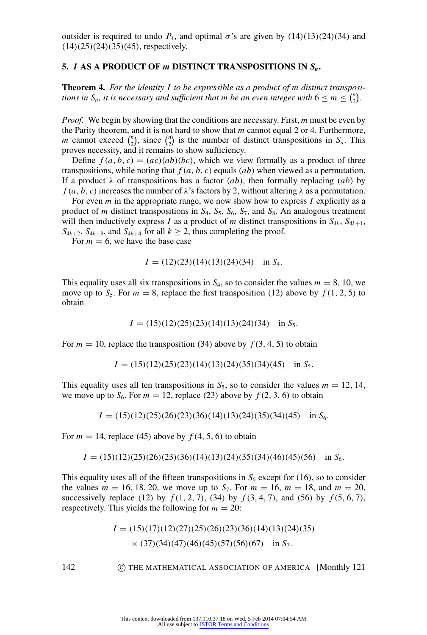outsider is required to undo  $P_1$ , and optimal  $\sigma$ 's are given by  $(14)(13)(24)(34)$  and  $(14)(25)(24)(35)(45)$ , respectively.

#### **5.** *I* **AS A PRODUCT OF** *m* **DISTINCT TRANSPOSITIONS IN** *Sn***.**

**Theorem 4.** *For the identity I to be expressible as a product of m distinct transpositions in*  $S_n$ *, it is necessary and sufficient that m be an even integer with*  $6 \le m \le {n \choose 2}$  $n \choose 2$ .

*Proof.* We begin by showing that the conditions are necessary. First, *m* must be even by the Parity theorem, and it is not hard to show that *m* cannot equal 2 or 4. Furthermore, *m* cannot exceed  $\binom{n}{2}$  $\binom{n}{2}$ , since  $\binom{n}{2}$  $\binom{n}{2}$  is the number of distinct transpositions in *S<sub>n</sub>*. This proves necessity, and it remains to show sufficiency.

Define  $f(a, b, c) = (ac)(ab)(bc)$ , which we view formally as a product of three transpositions, while noting that  $f(a, b, c)$  equals  $(ab)$  when viewed as a permutation. If a product  $\lambda$  of transpositions has a factor (*ab*), then formally replacing (*ab*) by *f* (*a*, *b*, *c*) increases the number of  $\lambda$ 's factors by 2, without altering  $\lambda$  as a permutation.

For even *m* in the appropriate range, we now show how to express *I* explicitly as a product of *m* distinct transpositions in *S*4, *S*5, *S*6, *S*7, and *S*8. An analogous treatment will then inductively express *I* as a product of *m* distinct transpositions in  $S_{4k}$ ,  $S_{4k+1}$ ,  $S_{4k+2}$ ,  $S_{4k+3}$ , and  $S_{4k+4}$  for all  $k \ge 2$ , thus completing the proof.

For  $m = 6$ , we have the base case

$$
I = (12)(23)(14)(13)(24)(34) \text{ in } S_4.
$$

This equality uses all six transpositions in  $S_4$ , so to consider the values  $m = 8, 10$ , we move up to  $S_5$ . For  $m = 8$ , replace the first transposition (12) above by  $f(1, 2, 5)$  to obtain

$$
I = (15)(12)(25)(23)(14)(13)(24)(34) \text{ in } S_5.
$$

For  $m = 10$ , replace the transposition (34) above by  $f(3, 4, 5)$  to obtain

$$
I = (15)(12)(25)(23)(14)(13)(24)(35)(34)(45) \text{ in } S_5.
$$

This equality uses all ten transpositions in  $S_5$ , so to consider the values  $m = 12, 14$ , we move up to  $S_6$ . For  $m = 12$ , replace (23) above by  $f(2, 3, 6)$  to obtain

 $I = (15)(12)(25)(26)(23)(36)(14)(13)(24)(35)(34)(45)$  in *S*<sub>6</sub>.

For  $m = 14$ , replace (45) above by  $f(4, 5, 6)$  to obtain

$$
I = (15)(12)(25)(26)(23)(36)(14)(13)(24)(35)(34)(46)(45)(56) \text{ in } S_6.
$$

This equality uses all of the fifteen transpositions in  $S<sub>6</sub>$  except for (16), so to consider the values  $m = 16, 18, 20$ , we move up to  $S_7$ . For  $m = 16$ ,  $m = 18$ , and  $m = 20$ , successively replace (12) by  $f(1, 2, 7)$ , (34) by  $f(3, 4, 7)$ , and (56) by  $f(5, 6, 7)$ , respectively. This yields the following for  $m = 20$ :

$$
I = (15)(17)(12)(27)(25)(26)(23)(36)(14)(13)(24)(35)
$$
  
× (37)(34)(47)(46)(45)(57)(56)(67) in S<sub>7</sub>.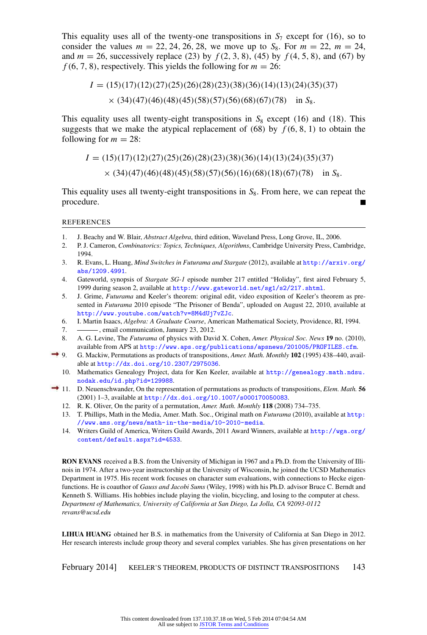This equality uses all of the twenty-one transpositions in  $S_7$  except for (16), so to consider the values  $m = 22, 24, 26, 28$ , we move up to  $S_8$ . For  $m = 22$ ,  $m = 24$ , and  $m = 26$ , successively replace (23) by  $f(2, 3, 8)$ , (45) by  $f(4, 5, 8)$ , and (67) by  $f(6, 7, 8)$ , respectively. This yields the following for  $m = 26$ :

$$
I = (15)(17)(12)(27)(25)(26)(28)(23)(38)(36)(14)(13)(24)(35)(37)
$$
  
× (34)(47)(46)(48)(45)(58)(57)(56)(68)(67)(78) in S<sub>8</sub>.

This equality uses all twenty-eight transpositions in  $S_8$  except (16) and (18). This suggests that we make the atypical replacement of  $(68)$  by  $f(6, 8, 1)$  to obtain the following for  $m = 28$ :

$$
I = (15)(17)(12)(27)(25)(26)(28)(23)(38)(36)(14)(13)(24)(35)(37)
$$
  
× (34)(47)(46)(48)(45)(58)(57)(56)(16)(68)(18)(67)(78) in S<sub>8</sub>.

This equality uses all twenty-eight transpositions in *S*8. From here, we can repeat the procedure.  $\blacksquare$ 

REFERENCES

- <span id="page-8-5"></span>1. J. Beachy and W. Blair, *Abstract Algebra*, third edition, Waveland Press, Long Grove, IL, 2006.
- <span id="page-8-10"></span>2. P. J. Cameron, *Combinatorics: Topics, Techniques, Algorithms*, Cambridge University Press, Cambridge, 1994.
- <span id="page-8-7"></span>3. R. Evans, L. Huang, *Mind Switches in Futurama and Stargate* (2012), available at [http://arxiv.org/](http://arxiv.org/abs/1209.4991) [abs/1209.4991](http://arxiv.org/abs/1209.4991).
- <span id="page-8-6"></span>4. Gateworld, synopsis of *Stargate SG-1* episode number 217 entitled "Holiday", first aired February 5, 1999 during season 2, available at <http://www.gateworld.net/sg1/s2/217.shtml>.
- <span id="page-8-1"></span>5. J. Grime, *Futurama* and Keeler's theorem: original edit, video exposition of Keeler's theorem as presented in *Futurama* 2010 episode "The Prisoner of Benda", uploaded on August 22, 2010, available at <http://www.youtube.com/watch?v=8M4dUj7vZJc>.
- <span id="page-8-11"></span>6. I. Martin Isaacs, *Algebra: A Graduate Course*, American Mathematical Society, Providence, RI, 1994.
- <span id="page-8-8"></span>7.  $\frac{1}{2}$ , email communication, January 23, 2012.
- <span id="page-8-2"></span>8. A. G. Levine, The *Futurama* of physics with David X. Cohen, *Amer. Physical Soc. News* **19** no. (2010), available from APS at <http://www.aps.org/publications/apsnews/201005/PROFILES.cfm>.
- <span id="page-8-12"></span><span id="page-8-3"></span>9. G. Mackiw, Permutations as products of transpositions, *Amer. Math. Monthly* **102** (1995) 438–440, available at <http://dx.doi.org/10.2307/2975036>.
	- 10. Mathematics Genealogy Project, data for Ken Keeler, available at [http://genealogy.math.ndsu.](http://genealogy.math.ndsu.nodak.edu/id.php?id=129988) [nodak.edu/id.php?id=129988](http://genealogy.math.ndsu.nodak.edu/id.php?id=129988).
- <span id="page-8-13"></span><span id="page-8-9"></span><span id="page-8-0"></span>11. D. Neuenschwander, On the representation of permutations as products of transpositions, *Elem. Math.* **56** (2001) 1–3, available at <http://dx.doi.org/10.1007/s000170050083>.
	- 12. R. K. Oliver, On the parity of a permutation, *Amer. Math. Monthly* **118** (2008) 734–735.
	- 13. T. Phillips, Math in the Media, Amer. Math. Soc., Original math on *Futurama* (2010), available at [http:](http://www.ams.org/news/math-in-the-media/10-2010-media) [//www.ams.org/news/math-in-the-media/10-2010-media](http://www.ams.org/news/math-in-the-media/10-2010-media).
	- 14. Writers Guild of America, Writers Guild Awards, 2011 Award Winners, available at [http://wga.org/](http://wga.org/content/default.aspx?id=4533) [content/default.aspx?id=4533](http://wga.org/content/default.aspx?id=4533).

<span id="page-8-4"></span>**RON EVANS** received a B.S. from the University of Michigan in 1967 and a Ph.D. from the University of Illinois in 1974. After a two-year instructorship at the University of Wisconsin, he joined the UCSD Mathematics Department in 1975. His recent work focuses on character sum evaluations, with connections to Hecke eigenfunctions. He is coauthor of *Gauss and Jacobi Sums* (Wiley, 1998) with his Ph.D. advisor Bruce C. Berndt and Kenneth S. Williams. His hobbies include playing the violin, bicycling, and losing to the computer at chess. *Department of Mathematics, University of California at San Diego, La Jolla, CA 92093-0112 revans@ucsd.edu*

**LIHUA HUANG** obtained her B.S. in mathematics from the University of California at San Diego in 2012. Her research interests include group theory and several complex variables. She has given presentations on her